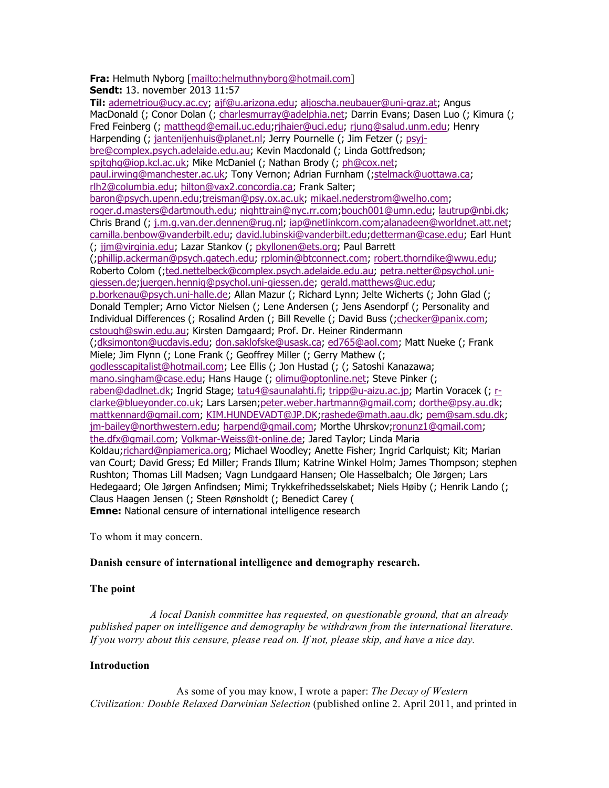**Fra:** Helmuth Nyborg [mailto:helmuthnyborg@hotmail.com]

**Sendt:** 13. november 2013 11:57

**Til:** ademetriou@ucy.ac.cy; ajf@u.arizona.edu; aljoscha.neubauer@uni-graz.at; Angus MacDonald (; Conor Dolan (; charlesmurray@adelphia.net; Darrin Evans; Dasen Luo (; Kimura (; Fred Feinberg (; matthegd@email.uc.edu;rjhaier@uci.edu; rjung@salud.unm.edu; Henry Harpending (; jantenijenhuis@planet.nl; Jerry Pournelle (; Jim Fetzer (; psyjbre@complex.psych.adelaide.edu.au; Kevin Macdonald (; Linda Gottfredson; spjtghg@iop.kcl.ac.uk; Mike McDaniel (; Nathan Brody (; ph@cox.net; paul.irwing@manchester.ac.uk; Tony Vernon; Adrian Furnham (;stelmack@uottawa.ca; rlh2@columbia.edu; hilton@vax2.concordia.ca; Frank Salter; baron@psych.upenn.edu;treisman@psy.ox.ac.uk; mikael.nederstrom@welho.com; roger.d.masters@dartmouth.edu; nighttrain@nyc.rr.com;bouch001@umn.edu; lautrup@nbi.dk; Chris Brand (; j.m.g.van.der.dennen@rug.nl; iap@netlinkcom.com;alanadeen@worldnet.att.net; camilla.benbow@vanderbilt.edu; david.lubinski@vanderbilt.edu;detterman@case.edu; Earl Hunt (; jjm@virginia.edu; Lazar Stankov (; pkyllonen@ets.org; Paul Barrett (;phillip.ackerman@psych.gatech.edu; rplomin@btconnect.com; robert.thorndike@wwu.edu; Roberto Colom (;ted.nettelbeck@complex.psych.adelaide.edu.au; petra.netter@psychol.unigiessen.de;juergen.hennig@psychol.uni-giessen.de; gerald.matthews@uc.edu; p.borkenau@psych.uni-halle.de; Allan Mazur (; Richard Lynn; Jelte Wicherts (; John Glad (; Donald Templer; Arno Victor Nielsen (; Lene Andersen (; Jens Asendorpf (; Personality and Individual Differences (; Rosalind Arden (; Bill Revelle (; David Buss (;checker@panix.com; cstough@swin.edu.au; Kirsten Damgaard; Prof. Dr. Heiner Rindermann (;dksimonton@ucdavis.edu; don.saklofske@usask.ca; ed765@aol.com; Matt Nueke (; Frank Miele; Jim Flynn (; Lone Frank (; Geoffrey Miller (; Gerry Mathew (; godlesscapitalist@hotmail.com; Lee Ellis (; Jon Hustad (; (; Satoshi Kanazawa; mano.singham@case.edu; Hans Hauge (; olimu@optonline.net; Steve Pinker (; raben@dadlnet.dk; Ingrid Stage; tatu4@saunalahti.fi; tripp@u-aizu.ac.jp; Martin Voracek (; rclarke@blueyonder.co.uk; Lars Larsen;peter.weber.hartmann@gmail.com; dorthe@psy.au.dk; mattkennard@gmail.com; KIM.HUNDEVADT@JP.DK;rashede@math.aau.dk; pem@sam.sdu.dk; jm-bailey@northwestern.edu; harpend@gmail.com; Morthe Uhrskov;ronunz1@gmail.com; the.dfx@gmail.com; Volkmar-Weiss@t-online.de; Jared Taylor; Linda Maria Koldau;richard@npiamerica.org; Michael Woodley; Anette Fisher; Ingrid Carlquist; Kit; Marian van Court; David Gress; Ed Miller; Frands Illum; Katrine Winkel Holm; James Thompson; stephen Rushton; Thomas Lill Madsen; Vagn Lundgaard Hansen; Ole Hasselbalch; Ole Jørgen; Lars Hedegaard; Ole Jørgen Anfindsen; Mimi; Trykkefrihedsselskabet; Niels Høiby (; Henrik Lando (; Claus Haagen Jensen (; Steen Rønsholdt (; Benedict Carey ( **Emne:** National censure of international intelligence research

To whom it may concern.

# **Danish censure of international intelligence and demography research.**

# **The point**

*A local Danish committee has requested, on questionable ground, that an already published paper on intelligence and demography be withdrawn from the international literature. If you worry about this censure, please read on. If not, please skip, and have a nice day.*

# **Introduction**

As some of you may know, I wrote a paper: *The Decay of Western Civilization: Double Relaxed Darwinian Selection* (published online 2. April 2011, and printed in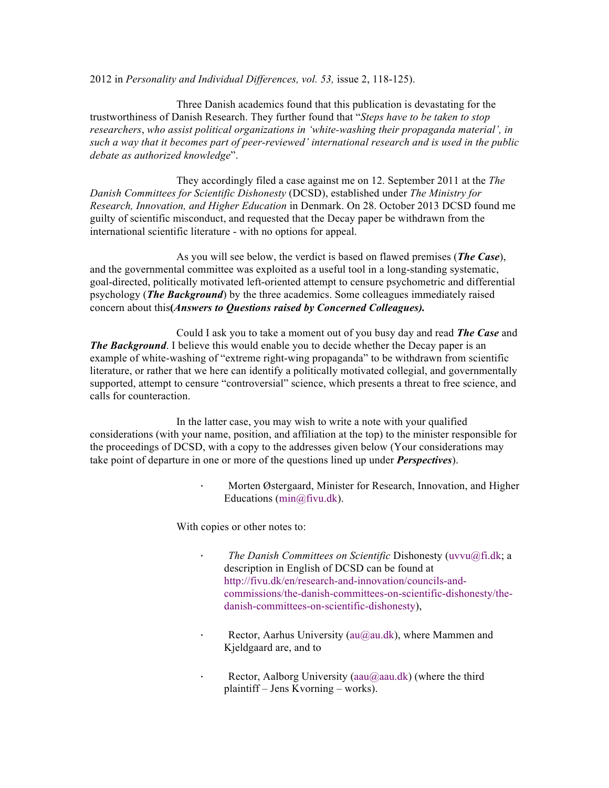2012 in *Personality and Individual Differences, vol. 53,* issue 2, 118-125).

Three Danish academics found that this publication is devastating for the trustworthiness of Danish Research. They further found that "*Steps have to be taken to stop researchers*, *who assist political organizations in 'white-washing their propaganda material', in such a way that it becomes part of peer-reviewed' international research and is used in the public debate as authorized knowledge*".

They accordingly filed a case against me on 12. September 2011 at the *The Danish Committees for Scientific Dishonesty* (DCSD), established under *The Ministry for Research, Innovation, and Higher Education* in Denmark. On 28. October 2013 DCSD found me guilty of scientific misconduct, and requested that the Decay paper be withdrawn from the international scientific literature - with no options for appeal.

As you will see below, the verdict is based on flawed premises (*The Case*), and the governmental committee was exploited as a useful tool in a long-standing systematic, goal-directed, politically motivated left-oriented attempt to censure psychometric and differential psychology (*The Background*) by the three academics. Some colleagues immediately raised concern about this**(***Answers to Questions raised by Concerned Colleagues).*

Could I ask you to take a moment out of you busy day and read *The Case* and *The Background*. I believe this would enable you to decide whether the Decay paper is an example of white-washing of "extreme right-wing propaganda" to be withdrawn from scientific literature, or rather that we here can identify a politically motivated collegial, and governmentally supported, attempt to censure "controversial" science, which presents a threat to free science, and calls for counteraction.

In the latter case, you may wish to write a note with your qualified considerations (with your name, position, and affiliation at the top) to the minister responsible for the proceedings of DCSD, with a copy to the addresses given below (Your considerations may take point of departure in one or more of the questions lined up under *Perspectives*).

> · Morten Østergaard, Minister for Research, Innovation, and Higher Educations (min@fivu.dk).

With copies or other notes to:

- · *The Danish Committees on Scientific* Dishonesty (uvvu@fi.dk; a description in English of DCSD can be found at http://fivu.dk/en/research-and-innovation/councils-andcommissions/the-danish-committees-on-scientific-dishonesty/thedanish-committees-on-scientific-dishonesty),
- Rector, Aarhus University (au@au.dk), where Mammen and Kjeldgaard are, and to
- Rector, Aalborg University (aau $@$ aau.dk) (where the third plaintiff – Jens Kvorning – works).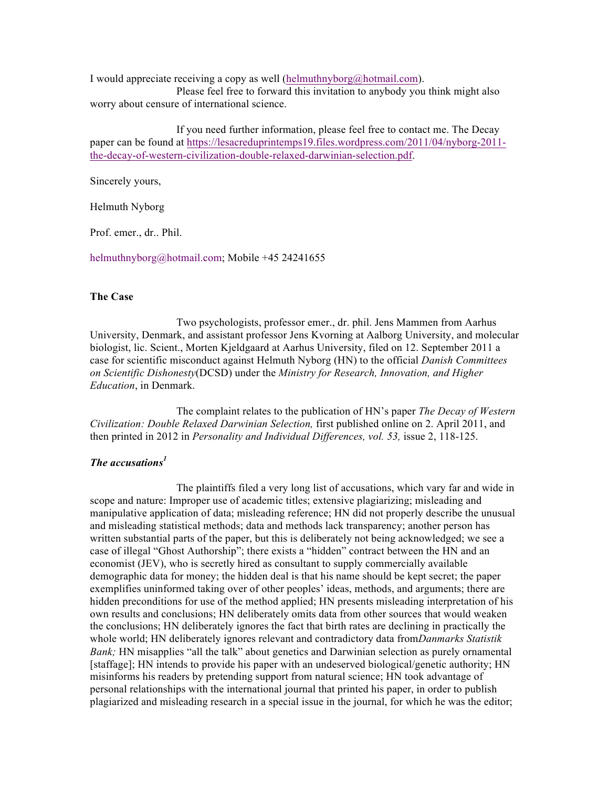I would appreciate receiving a copy as well (helmuthnyborg@hotmail.com).

Please feel free to forward this invitation to anybody you think might also worry about censure of international science.

If you need further information, please feel free to contact me. The Decay paper can be found at https://lesacreduprintemps19.files.wordpress.com/2011/04/nyborg-2011 the-decay-of-western-civilization-double-relaxed-darwinian-selection.pdf.

Sincerely yours,

Helmuth Nyborg

Prof. emer., dr.. Phil.

helmuthnyborg@hotmail.com; Mobile +45 24241655

## **The Case**

Two psychologists, professor emer., dr. phil. Jens Mammen from Aarhus University, Denmark, and assistant professor Jens Kvorning at Aalborg University, and molecular biologist, lic. Scient., Morten Kjeldgaard at Aarhus University, filed on 12. September 2011 a case for scientific misconduct against Helmuth Nyborg (HN) to the official *Danish Committees on Scientific Dishonesty*(DCSD) under the *Ministry for Research, Innovation, and Higher Education*, in Denmark.

The complaint relates to the publication of HN's paper *The Decay of Western Civilization: Double Relaxed Darwinian Selection,* first published online on 2. April 2011, and then printed in 2012 in *Personality and Individual Differences, vol. 53,* issue 2, 118-125.

# *The accusations<sup>1</sup>*

The plaintiffs filed a very long list of accusations, which vary far and wide in scope and nature: Improper use of academic titles; extensive plagiarizing; misleading and manipulative application of data; misleading reference; HN did not properly describe the unusual and misleading statistical methods; data and methods lack transparency; another person has written substantial parts of the paper, but this is deliberately not being acknowledged; we see a case of illegal "Ghost Authorship"; there exists a "hidden" contract between the HN and an economist (JEV), who is secretly hired as consultant to supply commercially available demographic data for money; the hidden deal is that his name should be kept secret; the paper exemplifies uninformed taking over of other peoples' ideas, methods, and arguments; there are hidden preconditions for use of the method applied; HN presents misleading interpretation of his own results and conclusions; HN deliberately omits data from other sources that would weaken the conclusions; HN deliberately ignores the fact that birth rates are declining in practically the whole world; HN deliberately ignores relevant and contradictory data from*Danmarks Statistik Bank;* HN misapplies "all the talk" about genetics and Darwinian selection as purely ornamental [staffage]; HN intends to provide his paper with an undeserved biological/genetic authority; HN misinforms his readers by pretending support from natural science; HN took advantage of personal relationships with the international journal that printed his paper, in order to publish plagiarized and misleading research in a special issue in the journal, for which he was the editor;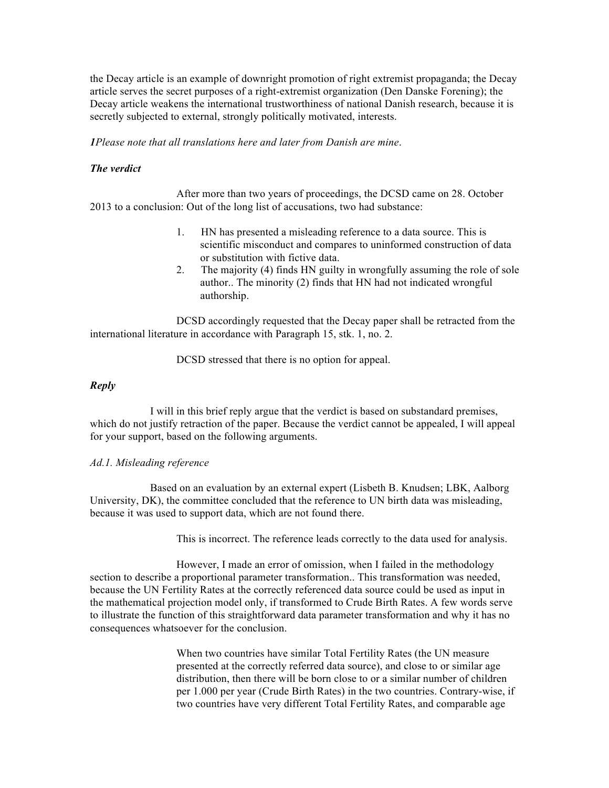the Decay article is an example of downright promotion of right extremist propaganda; the Decay article serves the secret purposes of a right-extremist organization (Den Danske Forening); the Decay article weakens the international trustworthiness of national Danish research, because it is secretly subjected to external, strongly politically motivated, interests.

*1Please note that all translations here and later from Danish are mine*.

### *The verdict*

After more than two years of proceedings, the DCSD came on 28. October 2013 to a conclusion: Out of the long list of accusations, two had substance:

- 1. HN has presented a misleading reference to a data source. This is scientific misconduct and compares to uninformed construction of data or substitution with fictive data.
- 2. The majority (4) finds HN guilty in wrongfully assuming the role of sole author.. The minority (2) finds that HN had not indicated wrongful authorship.

DCSD accordingly requested that the Decay paper shall be retracted from the international literature in accordance with Paragraph 15, stk. 1, no. 2.

DCSD stressed that there is no option for appeal.

### *Reply*

I will in this brief reply argue that the verdict is based on substandard premises, which do not justify retraction of the paper. Because the verdict cannot be appealed, I will appeal for your support, based on the following arguments.

### *Ad.1. Misleading reference*

Based on an evaluation by an external expert (Lisbeth B. Knudsen; LBK, Aalborg University, DK), the committee concluded that the reference to UN birth data was misleading, because it was used to support data, which are not found there.

This is incorrect. The reference leads correctly to the data used for analysis.

However, I made an error of omission, when I failed in the methodology section to describe a proportional parameter transformation.. This transformation was needed, because the UN Fertility Rates at the correctly referenced data source could be used as input in the mathematical projection model only, if transformed to Crude Birth Rates. A few words serve to illustrate the function of this straightforward data parameter transformation and why it has no consequences whatsoever for the conclusion.

> When two countries have similar Total Fertility Rates (the UN measure presented at the correctly referred data source), and close to or similar age distribution, then there will be born close to or a similar number of children per 1.000 per year (Crude Birth Rates) in the two countries. Contrary-wise, if two countries have very different Total Fertility Rates, and comparable age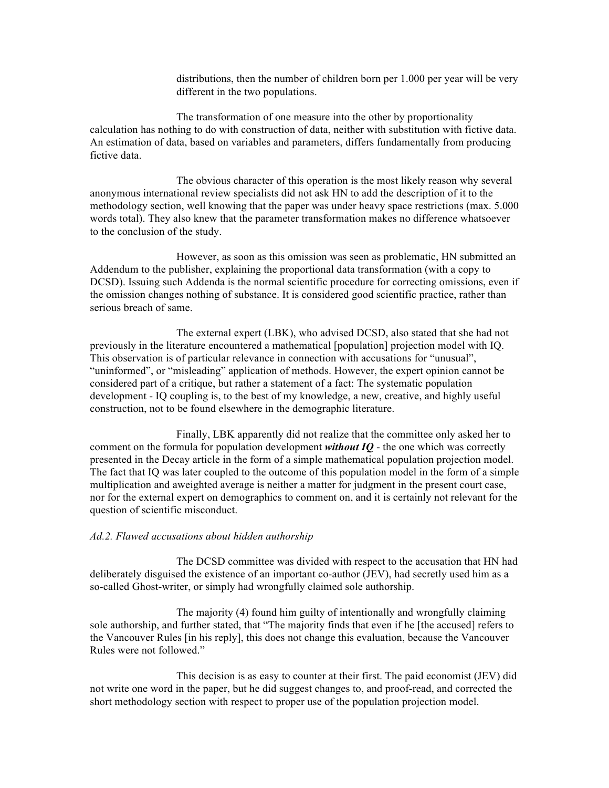distributions, then the number of children born per 1.000 per year will be very different in the two populations.

The transformation of one measure into the other by proportionality calculation has nothing to do with construction of data, neither with substitution with fictive data. An estimation of data, based on variables and parameters, differs fundamentally from producing fictive data.

The obvious character of this operation is the most likely reason why several anonymous international review specialists did not ask HN to add the description of it to the methodology section, well knowing that the paper was under heavy space restrictions (max. 5.000 words total). They also knew that the parameter transformation makes no difference whatsoever to the conclusion of the study.

However, as soon as this omission was seen as problematic, HN submitted an Addendum to the publisher, explaining the proportional data transformation (with a copy to DCSD). Issuing such Addenda is the normal scientific procedure for correcting omissions, even if the omission changes nothing of substance. It is considered good scientific practice, rather than serious breach of same.

The external expert (LBK), who advised DCSD, also stated that she had not previously in the literature encountered a mathematical [population] projection model with IQ. This observation is of particular relevance in connection with accusations for "unusual", "uninformed", or "misleading" application of methods. However, the expert opinion cannot be considered part of a critique, but rather a statement of a fact: The systematic population development - IQ coupling is, to the best of my knowledge, a new, creative, and highly useful construction, not to be found elsewhere in the demographic literature.

Finally, LBK apparently did not realize that the committee only asked her to comment on the formula for population development *without IQ* - the one which was correctly presented in the Decay article in the form of a simple mathematical population projection model. The fact that IQ was later coupled to the outcome of this population model in the form of a simple multiplication and aweighted average is neither a matter for judgment in the present court case, nor for the external expert on demographics to comment on, and it is certainly not relevant for the question of scientific misconduct.

### *Ad.2. Flawed accusations about hidden authorship*

The DCSD committee was divided with respect to the accusation that HN had deliberately disguised the existence of an important co-author (JEV), had secretly used him as a so-called Ghost-writer, or simply had wrongfully claimed sole authorship.

The majority (4) found him guilty of intentionally and wrongfully claiming sole authorship, and further stated, that "The majority finds that even if he [the accused] refers to the Vancouver Rules [in his reply], this does not change this evaluation, because the Vancouver Rules were not followed."

This decision is as easy to counter at their first. The paid economist (JEV) did not write one word in the paper, but he did suggest changes to, and proof-read, and corrected the short methodology section with respect to proper use of the population projection model.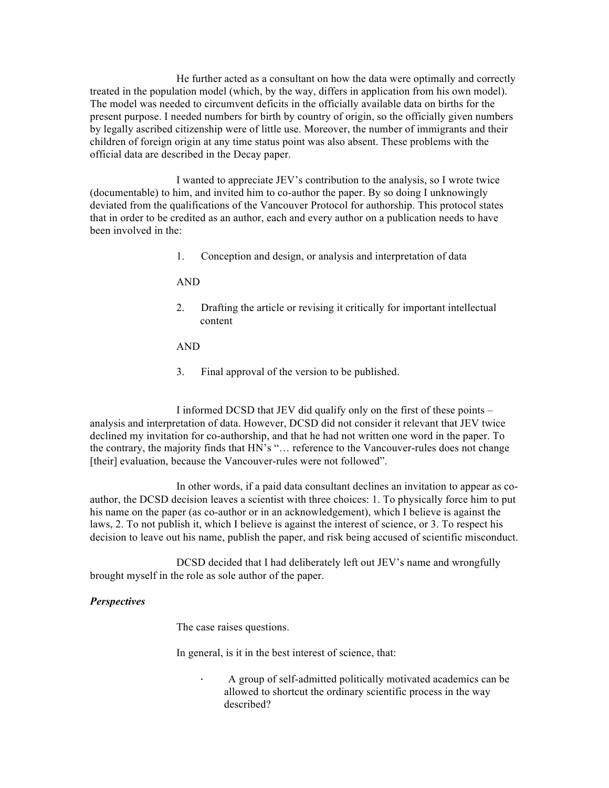He further acted as a consultant on how the data were optimally and correctly treated in the population model (which, by the way, differs in application from his own model). The model was needed to circumvent deficits in the officially available data on births for the present purpose. I needed numbers for birth by country of origin, so the officially given numbers by legally ascribed citizenship were of little use. Moreover, the number of immigrants and their children of foreign origin at any time status point was also absent. These problems with the official data are described in the Decay paper.

I wanted to appreciate JEV's contribution to the analysis, so I wrote twice (documentable) to him, and invited him to co-author the paper. By so doing I unknowingly deviated from the qualifications of the Vancouver Protocol for authorship. This protocol states that in order to be credited as an author, each and every author on a publication needs to have been involved in the:

1. Conception and design, or analysis and interpretation of data

AND

2. Drafting the article or revising it critically for important intellectual content

### AND

3. Final approval of the version to be published.

I informed DCSD that JEV did qualify only on the first of these points – analysis and interpretation of data. However, DCSD did not consider it relevant that JEV twice declined my invitation for co-authorship, and that he had not written one word in the paper. To the contrary, the majority finds that HN's "… reference to the Vancouver-rules does not change [their] evaluation, because the Vancouver-rules were not followed".

In other words, if a paid data consultant declines an invitation to appear as coauthor, the DCSD decision leaves a scientist with three choices: 1. To physically force him to put his name on the paper (as co-author or in an acknowledgement), which I believe is against the laws, 2. To not publish it, which I believe is against the interest of science, or 3. To respect his decision to leave out his name, publish the paper, and risk being accused of scientific misconduct.

DCSD decided that I had deliberately left out JEV's name and wrongfully brought myself in the role as sole author of the paper.

# *Perspectives*

The case raises questions.

In general, is it in the best interest of science, that:

· A group of self-admitted politically motivated academics can be allowed to shortcut the ordinary scientific process in the way described?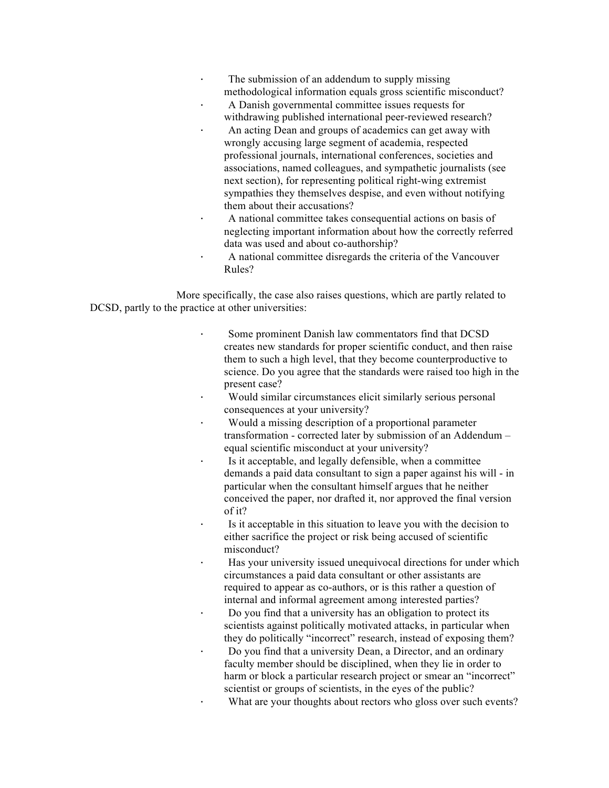- The submission of an addendum to supply missing methodological information equals gross scientific misconduct?
- · A Danish governmental committee issues requests for withdrawing published international peer-reviewed research?
- An acting Dean and groups of academics can get away with wrongly accusing large segment of academia, respected professional journals, international conferences, societies and associations, named colleagues, and sympathetic journalists (see next section), for representing political right-wing extremist sympathies they themselves despise, and even without notifying them about their accusations?
	- A national committee takes consequential actions on basis of neglecting important information about how the correctly referred data was used and about co-authorship?
	- · A national committee disregards the criteria of the Vancouver Rules?

More specifically, the case also raises questions, which are partly related to DCSD, partly to the practice at other universities:

- Some prominent Danish law commentators find that DCSD creates new standards for proper scientific conduct, and then raise them to such a high level, that they become counterproductive to science. Do you agree that the standards were raised too high in the present case?
- Would similar circumstances elicit similarly serious personal consequences at your university?
- · Would a missing description of a proportional parameter transformation - corrected later by submission of an Addendum – equal scientific misconduct at your university?
- Is it acceptable, and legally defensible, when a committee demands a paid data consultant to sign a paper against his will - in particular when the consultant himself argues that he neither conceived the paper, nor drafted it, nor approved the final version of it?
- Is it acceptable in this situation to leave you with the decision to either sacrifice the project or risk being accused of scientific misconduct?
- Has your university issued unequivocal directions for under which circumstances a paid data consultant or other assistants are required to appear as co-authors, or is this rather a question of internal and informal agreement among interested parties?
- · Do you find that a university has an obligation to protect its scientists against politically motivated attacks, in particular when they do politically "incorrect" research, instead of exposing them? · Do you find that a university Dean, a Director, and an ordinary
- faculty member should be disciplined, when they lie in order to harm or block a particular research project or smear an "incorrect" scientist or groups of scientists, in the eyes of the public?
- What are your thoughts about rectors who gloss over such events?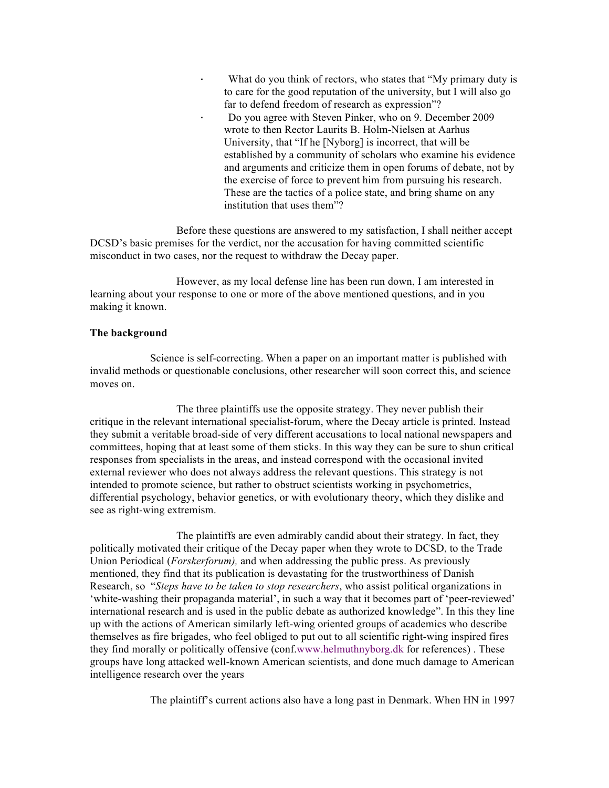What do you think of rectors, who states that "My primary duty is to care for the good reputation of the university, but I will also go far to defend freedom of research as expression"? · Do you agree with Steven Pinker, who on 9. December 2009 wrote to then Rector Laurits B. Holm-Nielsen at Aarhus University, that "If he [Nyborg] is incorrect, that will be established by a community of scholars who examine his evidence and arguments and criticize them in open forums of debate, not by the exercise of force to prevent him from pursuing his research. These are the tactics of a police state, and bring shame on any institution that uses them"?

Before these questions are answered to my satisfaction, I shall neither accept DCSD's basic premises for the verdict, nor the accusation for having committed scientific misconduct in two cases, nor the request to withdraw the Decay paper.

However, as my local defense line has been run down, I am interested in learning about your response to one or more of the above mentioned questions, and in you making it known.

### **The background**

Science is self-correcting. When a paper on an important matter is published with invalid methods or questionable conclusions, other researcher will soon correct this, and science moves on.

The three plaintiffs use the opposite strategy. They never publish their critique in the relevant international specialist-forum, where the Decay article is printed. Instead they submit a veritable broad-side of very different accusations to local national newspapers and committees, hoping that at least some of them sticks. In this way they can be sure to shun critical responses from specialists in the areas, and instead correspond with the occasional invited external reviewer who does not always address the relevant questions. This strategy is not intended to promote science, but rather to obstruct scientists working in psychometrics, differential psychology, behavior genetics, or with evolutionary theory, which they dislike and see as right-wing extremism.

The plaintiffs are even admirably candid about their strategy. In fact, they politically motivated their critique of the Decay paper when they wrote to DCSD, to the Trade Union Periodical (*Forskerforum),* and when addressing the public press. As previously mentioned, they find that its publication is devastating for the trustworthiness of Danish Research, so "*Steps have to be taken to stop researchers*, who assist political organizations in 'white-washing their propaganda material', in such a way that it becomes part of 'peer-reviewed' international research and is used in the public debate as authorized knowledge". In this they line up with the actions of American similarly left-wing oriented groups of academics who describe themselves as fire brigades, who feel obliged to put out to all scientific right-wing inspired fires they find morally or politically offensive (conf.www.helmuthnyborg.dk for references) . These groups have long attacked well-known American scientists, and done much damage to American intelligence research over the years

The plaintiff's current actions also have a long past in Denmark. When HN in 1997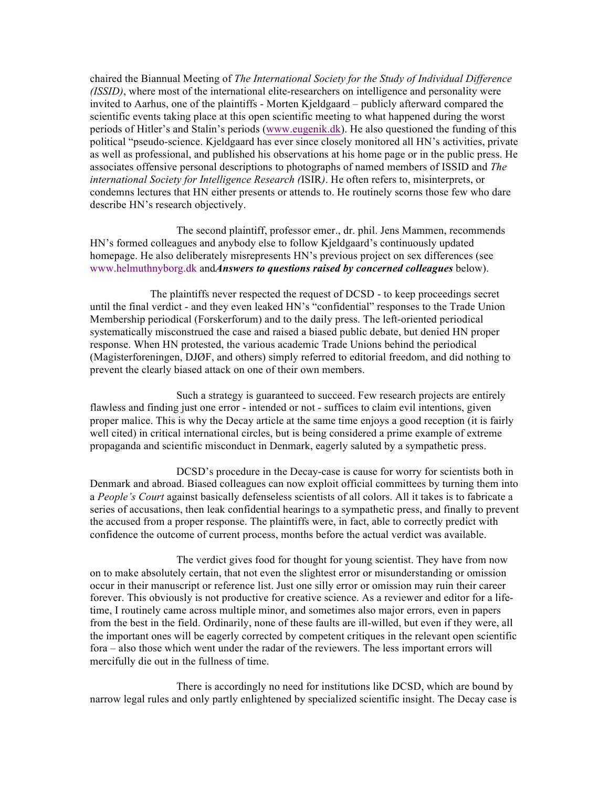chaired the Biannual Meeting of *The International Society for the Study of Individual Difference (ISSID)*, where most of the international elite-researchers on intelligence and personality were invited to Aarhus, one of the plaintiffs - Morten Kjeldgaard – publicly afterward compared the scientific events taking place at this open scientific meeting to what happened during the worst periods of Hitler's and Stalin's periods (www.eugenik.dk). He also questioned the funding of this political "pseudo-science. Kjeldgaard has ever since closely monitored all HN's activities, private as well as professional, and published his observations at his home page or in the public press. He associates offensive personal descriptions to photographs of named members of ISSID and *The international Society for Intelligence Research (*ISIR*)*. He often refers to, misinterprets, or condemns lectures that HN either presents or attends to. He routinely scorns those few who dare describe HN's research objectively.

The second plaintiff, professor emer., dr. phil. Jens Mammen, recommends HN's formed colleagues and anybody else to follow Kjeldgaard's continuously updated homepage. He also deliberately misrepresents HN's previous project on sex differences (see www.helmuthnyborg.dk and*Answers to questions raised by concerned colleagues* below).

The plaintiffs never respected the request of DCSD - to keep proceedings secret until the final verdict - and they even leaked HN's "confidential" responses to the Trade Union Membership periodical (Forskerforum) and to the daily press. The left-oriented periodical systematically misconstrued the case and raised a biased public debate, but denied HN proper response. When HN protested, the various academic Trade Unions behind the periodical (Magisterforeningen, DJØF, and others) simply referred to editorial freedom, and did nothing to prevent the clearly biased attack on one of their own members.

Such a strategy is guaranteed to succeed. Few research projects are entirely flawless and finding just one error - intended or not - suffices to claim evil intentions, given proper malice. This is why the Decay article at the same time enjoys a good reception (it is fairly well cited) in critical international circles, but is being considered a prime example of extreme propaganda and scientific misconduct in Denmark, eagerly saluted by a sympathetic press.

DCSD's procedure in the Decay-case is cause for worry for scientists both in Denmark and abroad. Biased colleagues can now exploit official committees by turning them into a *People's Court* against basically defenseless scientists of all colors. All it takes is to fabricate a series of accusations, then leak confidential hearings to a sympathetic press, and finally to prevent the accused from a proper response. The plaintiffs were, in fact, able to correctly predict with confidence the outcome of current process, months before the actual verdict was available.

The verdict gives food for thought for young scientist. They have from now on to make absolutely certain, that not even the slightest error or misunderstanding or omission occur in their manuscript or reference list. Just one silly error or omission may ruin their career forever. This obviously is not productive for creative science. As a reviewer and editor for a lifetime, I routinely came across multiple minor, and sometimes also major errors, even in papers from the best in the field. Ordinarily, none of these faults are ill-willed, but even if they were, all the important ones will be eagerly corrected by competent critiques in the relevant open scientific fora – also those which went under the radar of the reviewers. The less important errors will mercifully die out in the fullness of time.

There is accordingly no need for institutions like DCSD, which are bound by narrow legal rules and only partly enlightened by specialized scientific insight. The Decay case is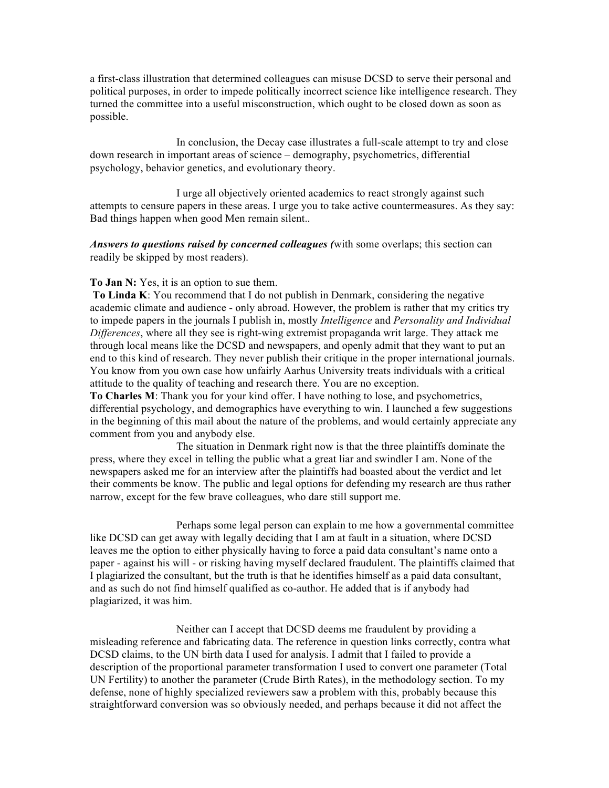a first-class illustration that determined colleagues can misuse DCSD to serve their personal and political purposes, in order to impede politically incorrect science like intelligence research. They turned the committee into a useful misconstruction, which ought to be closed down as soon as possible.

In conclusion, the Decay case illustrates a full-scale attempt to try and close down research in important areas of science – demography, psychometrics, differential psychology, behavior genetics, and evolutionary theory.

I urge all objectively oriented academics to react strongly against such attempts to censure papers in these areas. I urge you to take active countermeasures. As they say: Bad things happen when good Men remain silent..

*Answers to questions raised by concerned colleagues (*with some overlaps; this section can readily be skipped by most readers).

### **To Jan N:** Yes, it is an option to sue them.

**To Linda K**: You recommend that I do not publish in Denmark, considering the negative academic climate and audience - only abroad. However, the problem is rather that my critics try to impede papers in the journals I publish in, mostly *Intelligence* and *Personality and Individual Differences*, where all they see is right-wing extremist propaganda writ large. They attack me through local means like the DCSD and newspapers, and openly admit that they want to put an end to this kind of research. They never publish their critique in the proper international journals. You know from you own case how unfairly Aarhus University treats individuals with a critical attitude to the quality of teaching and research there. You are no exception.

**To Charles M**: Thank you for your kind offer. I have nothing to lose, and psychometrics, differential psychology, and demographics have everything to win. I launched a few suggestions in the beginning of this mail about the nature of the problems, and would certainly appreciate any comment from you and anybody else.

The situation in Denmark right now is that the three plaintiffs dominate the press, where they excel in telling the public what a great liar and swindler I am. None of the newspapers asked me for an interview after the plaintiffs had boasted about the verdict and let their comments be know. The public and legal options for defending my research are thus rather narrow, except for the few brave colleagues, who dare still support me.

Perhaps some legal person can explain to me how a governmental committee like DCSD can get away with legally deciding that I am at fault in a situation, where DCSD leaves me the option to either physically having to force a paid data consultant's name onto a paper - against his will - or risking having myself declared fraudulent. The plaintiffs claimed that I plagiarized the consultant, but the truth is that he identifies himself as a paid data consultant, and as such do not find himself qualified as co-author. He added that is if anybody had plagiarized, it was him.

Neither can I accept that DCSD deems me fraudulent by providing a misleading reference and fabricating data. The reference in question links correctly, contra what DCSD claims, to the UN birth data I used for analysis. I admit that I failed to provide a description of the proportional parameter transformation I used to convert one parameter (Total UN Fertility) to another the parameter (Crude Birth Rates), in the methodology section. To my defense, none of highly specialized reviewers saw a problem with this, probably because this straightforward conversion was so obviously needed, and perhaps because it did not affect the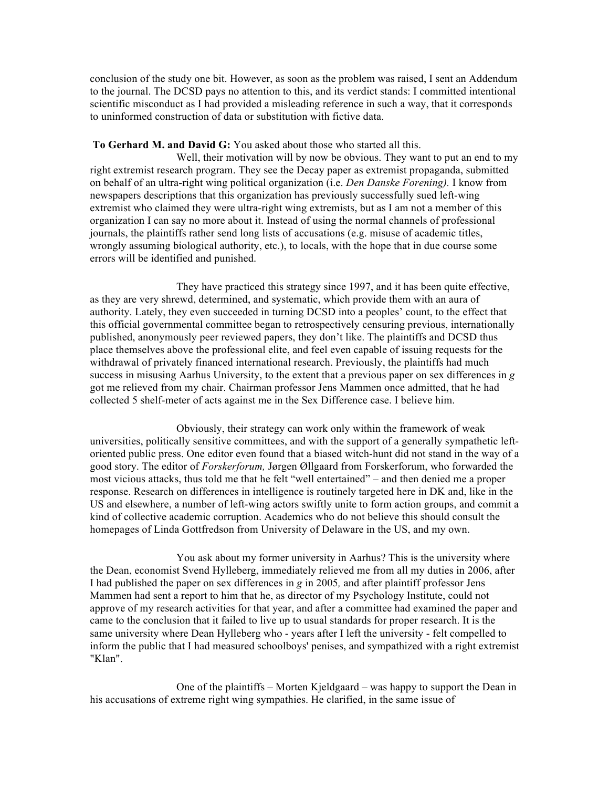conclusion of the study one bit. However, as soon as the problem was raised, I sent an Addendum to the journal. The DCSD pays no attention to this, and its verdict stands: I committed intentional scientific misconduct as I had provided a misleading reference in such a way, that it corresponds to uninformed construction of data or substitution with fictive data.

### **To Gerhard M. and David G:** You asked about those who started all this.

Well, their motivation will by now be obvious. They want to put an end to my right extremist research program. They see the Decay paper as extremist propaganda, submitted on behalf of an ultra-right wing political organization (i.e. *Den Danske Forening).* I know from newspapers descriptions that this organization has previously successfully sued left-wing extremist who claimed they were ultra-right wing extremists, but as I am not a member of this organization I can say no more about it. Instead of using the normal channels of professional journals, the plaintiffs rather send long lists of accusations (e.g. misuse of academic titles, wrongly assuming biological authority, etc.), to locals, with the hope that in due course some errors will be identified and punished.

They have practiced this strategy since 1997, and it has been quite effective, as they are very shrewd, determined, and systematic, which provide them with an aura of authority. Lately, they even succeeded in turning DCSD into a peoples' count, to the effect that this official governmental committee began to retrospectively censuring previous, internationally published, anonymously peer reviewed papers, they don't like. The plaintiffs and DCSD thus place themselves above the professional elite, and feel even capable of issuing requests for the withdrawal of privately financed international research. Previously, the plaintiffs had much success in misusing Aarhus University, to the extent that a previous paper on sex differences in *g* got me relieved from my chair. Chairman professor Jens Mammen once admitted, that he had collected 5 shelf-meter of acts against me in the Sex Difference case. I believe him.

Obviously, their strategy can work only within the framework of weak universities, politically sensitive committees, and with the support of a generally sympathetic leftoriented public press. One editor even found that a biased witch-hunt did not stand in the way of a good story. The editor of *Forskerforum,* Jørgen Øllgaard from Forskerforum, who forwarded the most vicious attacks, thus told me that he felt "well entertained" – and then denied me a proper response. Research on differences in intelligence is routinely targeted here in DK and, like in the US and elsewhere, a number of left-wing actors swiftly unite to form action groups, and commit a kind of collective academic corruption. Academics who do not believe this should consult the homepages of Linda Gottfredson from University of Delaware in the US, and my own.

You ask about my former university in Aarhus? This is the university where the Dean, economist Svend Hylleberg, immediately relieved me from all my duties in 2006, after I had published the paper on sex differences in *g* in 2005*,* and after plaintiff professor Jens Mammen had sent a report to him that he, as director of my Psychology Institute, could not approve of my research activities for that year, and after a committee had examined the paper and came to the conclusion that it failed to live up to usual standards for proper research. It is the same university where Dean Hylleberg who - years after I left the university - felt compelled to inform the public that I had measured schoolboys' penises, and sympathized with a right extremist "Klan".

One of the plaintiffs – Morten Kjeldgaard – was happy to support the Dean in his accusations of extreme right wing sympathies. He clarified, in the same issue of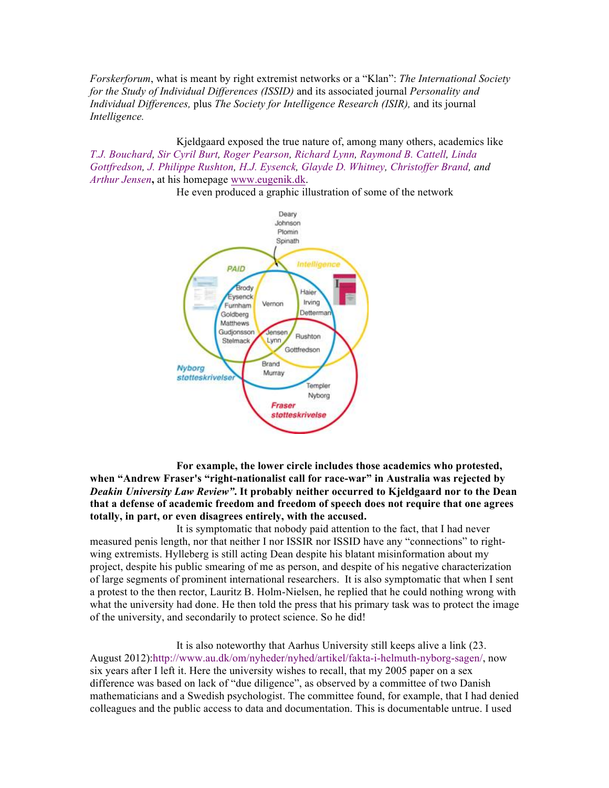*Forskerforum*, what is meant by right extremist networks or a "Klan": *The International Society for the Study of Individual Differences (ISSID)* and its associated journal *Personality and Individual Differences,* plus *The Society for Intelligence Research (ISIR),* and its journal *Intelligence.*

Kjeldgaard exposed the true nature of, among many others, academics like *T.J. Bouchard, Sir Cyril Burt, Roger Pearson, Richard Lynn, Raymond B. Cattell, Linda Gottfredson, J. Philippe Rushton, H.J. Eysenck, Glayde D. Whitney, Christoffer Brand, and Arthur Jensen***,** at his homepage www.eugenik.dk.



He even produced a graphic illustration of some of the network

**For example, the lower circle includes those academics who protested, when "Andrew Fraser's "right-nationalist call for race-war" in Australia was rejected by**  *Deakin University Law Review"***. It probably neither occurred to Kjeldgaard nor to the Dean that a defense of academic freedom and freedom of speech does not require that one agrees totally, in part, or even disagrees entirely, with the accused.**

It is symptomatic that nobody paid attention to the fact, that I had never measured penis length, nor that neither I nor ISSIR nor ISSID have any "connections" to rightwing extremists. Hylleberg is still acting Dean despite his blatant misinformation about my project, despite his public smearing of me as person, and despite of his negative characterization of large segments of prominent international researchers. It is also symptomatic that when I sent a protest to the then rector, Lauritz B. Holm-Nielsen, he replied that he could nothing wrong with what the university had done. He then told the press that his primary task was to protect the image of the university, and secondarily to protect science. So he did!

It is also noteworthy that Aarhus University still keeps alive a link (23. August 2012):http://www.au.dk/om/nyheder/nyhed/artikel/fakta-i-helmuth-nyborg-sagen/, now six years after I left it. Here the university wishes to recall, that my 2005 paper on a sex difference was based on lack of "due diligence", as observed by a committee of two Danish mathematicians and a Swedish psychologist. The committee found, for example, that I had denied colleagues and the public access to data and documentation. This is documentable untrue. I used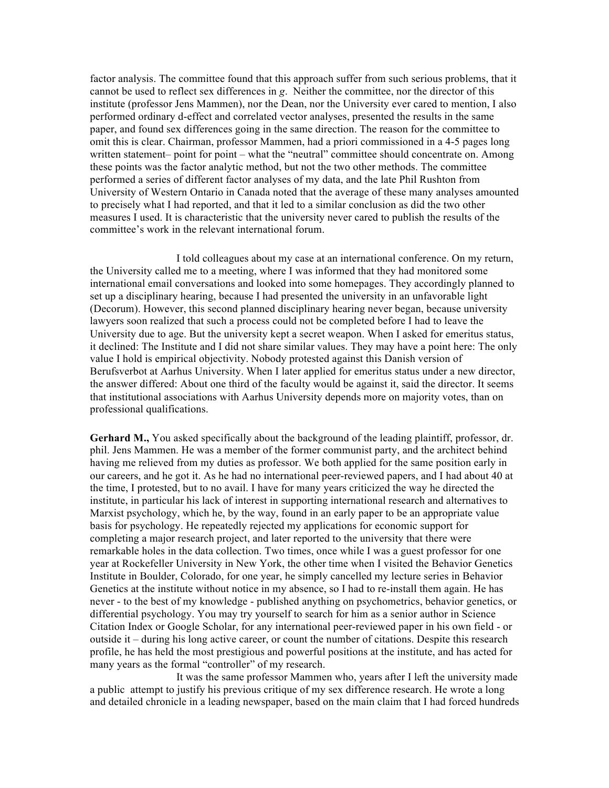factor analysis. The committee found that this approach suffer from such serious problems, that it cannot be used to reflect sex differences in *g*. Neither the committee, nor the director of this institute (professor Jens Mammen), nor the Dean, nor the University ever cared to mention, I also performed ordinary d-effect and correlated vector analyses, presented the results in the same paper, and found sex differences going in the same direction. The reason for the committee to omit this is clear. Chairman, professor Mammen, had a priori commissioned in a 4-5 pages long written statement– point for point – what the "neutral" committee should concentrate on. Among these points was the factor analytic method, but not the two other methods. The committee performed a series of different factor analyses of my data, and the late Phil Rushton from University of Western Ontario in Canada noted that the average of these many analyses amounted to precisely what I had reported, and that it led to a similar conclusion as did the two other measures I used. It is characteristic that the university never cared to publish the results of the committee's work in the relevant international forum.

I told colleagues about my case at an international conference. On my return, the University called me to a meeting, where I was informed that they had monitored some international email conversations and looked into some homepages. They accordingly planned to set up a disciplinary hearing, because I had presented the university in an unfavorable light (Decorum). However, this second planned disciplinary hearing never began, because university lawyers soon realized that such a process could not be completed before I had to leave the University due to age. But the university kept a secret weapon. When I asked for emeritus status, it declined: The Institute and I did not share similar values. They may have a point here: The only value I hold is empirical objectivity. Nobody protested against this Danish version of Berufsverbot at Aarhus University. When I later applied for emeritus status under a new director, the answer differed: About one third of the faculty would be against it, said the director. It seems that institutional associations with Aarhus University depends more on majority votes, than on professional qualifications.

**Gerhard M.,** You asked specifically about the background of the leading plaintiff, professor, dr. phil. Jens Mammen. He was a member of the former communist party, and the architect behind having me relieved from my duties as professor. We both applied for the same position early in our careers, and he got it. As he had no international peer-reviewed papers, and I had about 40 at the time, I protested, but to no avail. I have for many years criticized the way he directed the institute, in particular his lack of interest in supporting international research and alternatives to Marxist psychology, which he, by the way, found in an early paper to be an appropriate value basis for psychology. He repeatedly rejected my applications for economic support for completing a major research project, and later reported to the university that there were remarkable holes in the data collection. Two times, once while I was a guest professor for one year at Rockefeller University in New York, the other time when I visited the Behavior Genetics Institute in Boulder, Colorado, for one year, he simply cancelled my lecture series in Behavior Genetics at the institute without notice in my absence, so I had to re-install them again. He has never - to the best of my knowledge - published anything on psychometrics, behavior genetics, or differential psychology. You may try yourself to search for him as a senior author in Science Citation Index or Google Scholar, for any international peer-reviewed paper in his own field - or outside it – during his long active career, or count the number of citations. Despite this research profile, he has held the most prestigious and powerful positions at the institute, and has acted for many years as the formal "controller" of my research.

It was the same professor Mammen who, years after I left the university made a public attempt to justify his previous critique of my sex difference research. He wrote a long and detailed chronicle in a leading newspaper, based on the main claim that I had forced hundreds